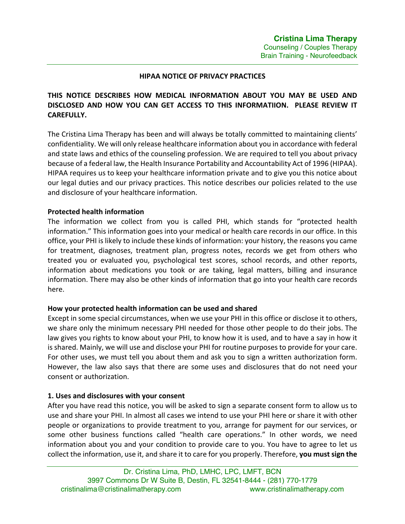#### **HIPAA NOTICE OF PRIVACY PRACTICES**

# **THIS NOTICE DESCRIBES HOW MEDICAL INFORMATION ABOUT YOU MAY BE USED AND DISCLOSED AND HOW YOU CAN GET ACCESS TO THIS INFORMATIION. PLEASE REVIEW IT CAREFULLY.**

The Cristina Lima Therapy has been and will always be totally committed to maintaining clients' confidentiality. We will only release healthcare information about you in accordance with federal and state laws and ethics of the counseling profession. We are required to tell you about privacy because of a federal law, the Health Insurance Portability and Accountability Act of 1996 (HIPAA). HIPAA requires us to keep your healthcare information private and to give you this notice about our legal duties and our privacy practices. This notice describes our policies related to the use and disclosure of your healthcare information.

#### **Protected health information**

The information we collect from you is called PHI, which stands for "protected health information." This information goes into your medical or health care records in our office. In this office, your PHI is likely to include these kinds of information: your history, the reasons you came for treatment, diagnoses, treatment plan, progress notes, records we get from others who treated you or evaluated you, psychological test scores, school records, and other reports, information about medications you took or are taking, legal matters, billing and insurance information. There may also be other kinds of information that go into your health care records here.

#### **How your protected health information can be used and shared**

Except in some special circumstances, when we use your PHI in this office or disclose it to others, we share only the minimum necessary PHI needed for those other people to do their jobs. The law gives you rights to know about your PHI, to know how it is used, and to have a say in how it is shared. Mainly, we will use and disclose your PHI for routine purposes to provide for your care. For other uses, we must tell you about them and ask you to sign a written authorization form. However, the law also says that there are some uses and disclosures that do not need your consent or authorization.

#### **1. Uses and disclosures with your consent**

After you have read this notice, you will be asked to sign a separate consent form to allow us to use and share your PHI. In almost all cases we intend to use your PHI here or share it with other people or organizations to provide treatment to you, arrange for payment for our services, or some other business functions called "health care operations." In other words, we need information about you and your condition to provide care to you. You have to agree to let us collect the information, use it, and share it to care for you properly. Therefore, **you must sign the**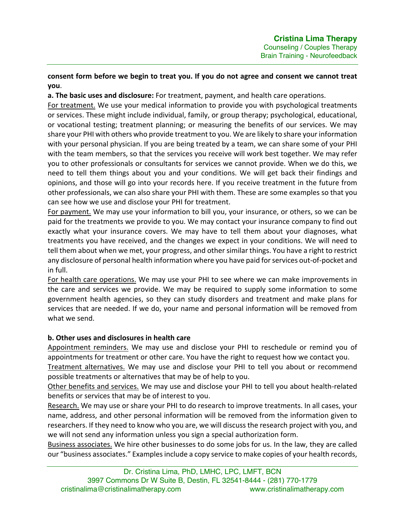# **consent form before we begin to treat you. If you do not agree and consent we cannot treat you**.

**a. The basic uses and disclosure:** For treatment, payment, and health care operations.

For treatment. We use your medical information to provide you with psychological treatments or services. These might include individual, family, or group therapy; psychological, educational, or vocational testing; treatment planning; or measuring the benefits of our services. We may share your PHI with others who provide treatment to you. We are likely to share your information with your personal physician. If you are being treated by a team, we can share some of your PHI with the team members, so that the services you receive will work best together. We may refer you to other professionals or consultants for services we cannot provide. When we do this, we need to tell them things about you and your conditions. We will get back their findings and opinions, and those will go into your records here. If you receive treatment in the future from other professionals, we can also share your PHI with them. These are some examples so that you can see how we use and disclose your PHI for treatment.

For payment. We may use your information to bill you, your insurance, or others, so we can be paid for the treatments we provide to you. We may contact your insurance company to find out exactly what your insurance covers. We may have to tell them about your diagnoses, what treatments you have received, and the changes we expect in your conditions. We will need to tell them about when we met, your progress, and other similar things. You have a right to restrict any disclosure of personal health information where you have paid for services out-of-pocket and in full.

For health care operations. We may use your PHI to see where we can make improvements in the care and services we provide. We may be required to supply some information to some government health agencies, so they can study disorders and treatment and make plans for services that are needed. If we do, your name and personal information will be removed from what we send.

# **b. Other uses and disclosures in health care**

Appointment reminders. We may use and disclose your PHI to reschedule or remind you of appointments for treatment or other care. You have the right to request how we contact you.

Treatment alternatives. We may use and disclose your PHI to tell you about or recommend possible treatments or alternatives that may be of help to you.

Other benefits and services. We may use and disclose your PHI to tell you about health-related benefits or services that may be of interest to you.

Research. We may use or share your PHI to do research to improve treatments. In all cases, your name, address, and other personal information will be removed from the information given to researchers. If they need to know who you are, we will discuss the research project with you, and we will not send any information unless you sign a special authorization form.

Business associates. We hire other businesses to do some jobs for us. In the law, they are called our "business associates." Examples include a copy service to make copies of your health records,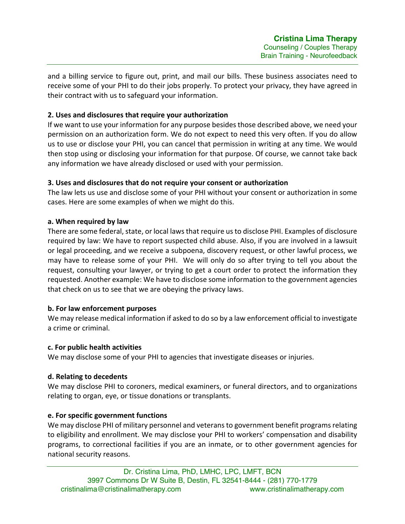and a billing service to figure out, print, and mail our bills. These business associates need to receive some of your PHI to do their jobs properly. To protect your privacy, they have agreed in their contract with us to safeguard your information.

## **2. Uses and disclosures that require your authorization**

If we want to use your information for any purpose besides those described above, we need your permission on an authorization form. We do not expect to need this very often. If you do allow us to use or disclose your PHI, you can cancel that permission in writing at any time. We would then stop using or disclosing your information for that purpose. Of course, we cannot take back any information we have already disclosed or used with your permission.

# **3. Uses and disclosures that do not require your consent or authorization**

The law lets us use and disclose some of your PHI without your consent or authorization in some cases. Here are some examples of when we might do this.

# **a. When required by law**

There are some federal, state, or local laws that require us to disclose PHI. Examples of disclosure required by law: We have to report suspected child abuse. Also, if you are involved in a lawsuit or legal proceeding, and we receive a subpoena, discovery request, or other lawful process, we may have to release some of your PHI. We will only do so after trying to tell you about the request, consulting your lawyer, or trying to get a court order to protect the information they requested. Another example: We have to disclose some information to the government agencies that check on us to see that we are obeying the privacy laws.

## **b. For law enforcement purposes**

We may release medical information if asked to do so by a law enforcement official to investigate a crime or criminal.

## **c. For public health activities**

We may disclose some of your PHI to agencies that investigate diseases or injuries.

# **d. Relating to decedents**

We may disclose PHI to coroners, medical examiners, or funeral directors, and to organizations relating to organ, eye, or tissue donations or transplants.

## **e. For specific government functions**

We may disclose PHI of military personnel and veterans to government benefit programs relating to eligibility and enrollment. We may disclose your PHI to workers' compensation and disability programs, to correctional facilities if you are an inmate, or to other government agencies for national security reasons.